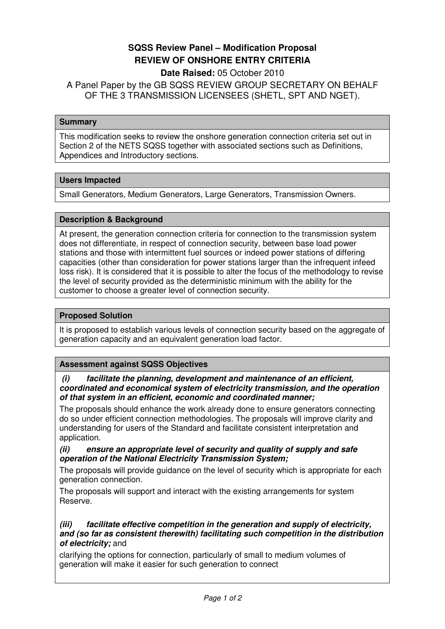# **SQSS Review Panel – Modification Proposal REVIEW OF ONSHORE ENTRY CRITERIA**

## **Date Raised:** 05 October 2010

A Panel Paper by the GB SQSS REVIEW GROUP SECRETARY ON BEHALF OF THE 3 TRANSMISSION LICENSEES (SHETL, SPT AND NGET).

#### **Summary**

This modification seeks to review the onshore generation connection criteria set out in Section 2 of the NETS SQSS together with associated sections such as Definitions, Appendices and Introductory sections.

## **Users Impacted**

Small Generators, Medium Generators, Large Generators, Transmission Owners.

#### **Description & Background**

At present, the generation connection criteria for connection to the transmission system does not differentiate, in respect of connection security, between base load power stations and those with intermittent fuel sources or indeed power stations of differing capacities (other than consideration for power stations larger than the infrequent infeed loss risk). It is considered that it is possible to alter the focus of the methodology to revise the level of security provided as the deterministic minimum with the ability for the customer to choose a greater level of connection security.

#### **Proposed Solution**

It is proposed to establish various levels of connection security based on the aggregate of generation capacity and an equivalent generation load factor.

## **Assessment against SQSS Objectives**

 **(i) facilitate the planning, development and maintenance of an efficient, coordinated and economical system of electricity transmission, and the operation of that system in an efficient, economic and coordinated manner;** 

The proposals should enhance the work already done to ensure generators connecting do so under efficient connection methodologies. The proposals will improve clarity and understanding for users of the Standard and facilitate consistent interpretation and application.

#### **(ii) ensure an appropriate level of security and quality of supply and safe operation of the National Electricity Transmission System;**

The proposals will provide guidance on the level of security which is appropriate for each generation connection.

The proposals will support and interact with the existing arrangements for system Reserve.

## **(iii) facilitate effective competition in the generation and supply of electricity, and (so far as consistent therewith) facilitating such competition in the distribution of electricity;** and

clarifying the options for connection, particularly of small to medium volumes of generation will make it easier for such generation to connect